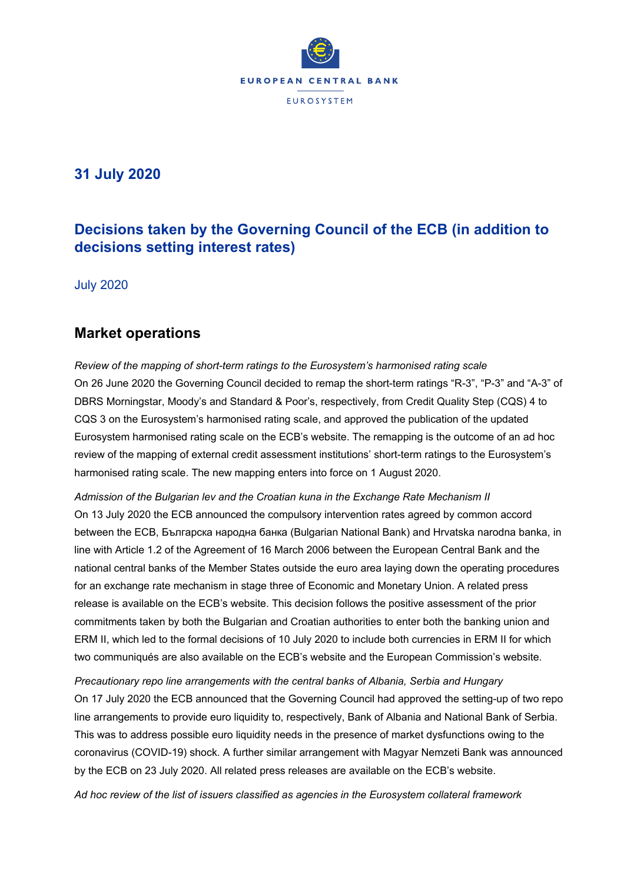

# **31 July 2020**

# **Decisions taken by the Governing Council of the ECB (in addition to decisions setting interest rates)**

July 2020

### **Market operations**

*Review of the mapping of short-term ratings to the Eurosystem's harmonised rating scale* On 26 June 2020 the Governing Council decided to remap the short-term ratings "R-3", "P-3" and "A-3" of DBRS Morningstar, Moody's and Standard & Poor's, respectively, from Credit Quality Step (CQS) 4 to CQS 3 on the Eurosystem's harmonised rating scale, and approved the publication of the updated Eurosystem harmonised rating scale on the ECB's website. The remapping is the outcome of an ad hoc review of the mapping of external credit assessment institutions' short-term ratings to the Eurosystem's harmonised rating scale. The new mapping enters into force on 1 August 2020.

*Admission of the Bulgarian lev and the Croatian kuna in the Exchange Rate Mechanism II* On 13 July 2020 the ECB announced the compulsory intervention rates agreed by common accord between the ECB, Българска народна банка (Bulgarian National Bank) and Hrvatska narodna banka, in line with Article 1.2 of the Agreement of 16 March 2006 between the European Central Bank and the national central banks of the Member States outside the euro area laying down the operating procedures for an exchange rate mechanism in stage three of Economic and Monetary Union. A related press release is available on the ECB's website. This decision follows the positive assessment of the prior commitments taken by both the Bulgarian and Croatian authorities to enter both the banking union and ERM II, which led to the formal decisions of 10 July 2020 to include both currencies in ERM II for which two communiqués are also available on the ECB's website and the European Commission's website.

*Precautionary repo line arrangements with the central banks of Albania, Serbia and Hungary*  On 17 July 2020 the ECB announced that the Governing Council had approved the setting-up of two repo line arrangements to provide euro liquidity to, respectively, Bank of Albania and National Bank of Serbia. This was to address possible euro liquidity needs in the presence of market dysfunctions owing to the coronavirus (COVID-19) shock. A further similar arrangement with Magyar Nemzeti Bank was announced by the ECB on 23 July 2020. All related press releases are available on the ECB's website.

*Ad hoc review of the list of issuers classified as agencies in the Eurosystem collateral framework*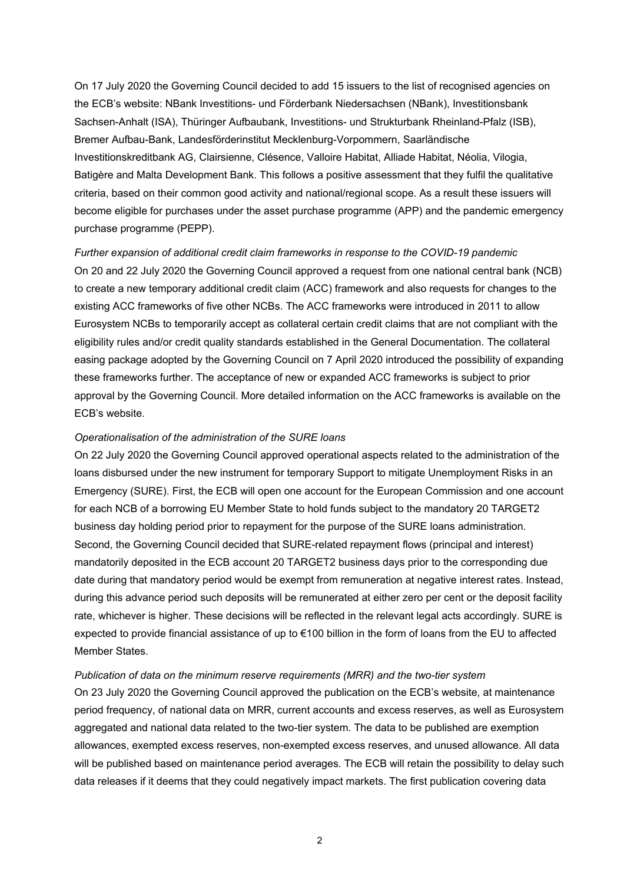On 17 July 2020 the Governing Council decided to add 15 issuers to the list of recognised agencies on the ECB's website: NBank Investitions- und Förderbank Niedersachsen (NBank), Investitionsbank Sachsen-Anhalt (ISA), Thüringer Aufbaubank, Investitions- und Strukturbank Rheinland-Pfalz (ISB), Bremer Aufbau-Bank, Landesförderinstitut Mecklenburg-Vorpommern, Saarländische Investitionskreditbank AG, Clairsienne, Clésence, Valloire Habitat, Alliade Habitat, Néolia, Vilogia, Batigère and Malta Development Bank. This follows a positive assessment that they fulfil the qualitative criteria, based on their common good activity and national/regional scope. As a result these issuers will become eligible for purchases under the asset purchase programme (APP) and the pandemic emergency purchase programme (PEPP).

*Further expansion of additional credit claim frameworks in response to the COVID-19 pandemic*  On 20 and 22 July 2020 the Governing Council approved a request from one national central bank (NCB) to create a new temporary additional credit claim (ACC) framework and also requests for changes to the existing ACC frameworks of five other NCBs. The ACC frameworks were introduced in 2011 to allow Eurosystem NCBs to temporarily accept as collateral certain credit claims that are not compliant with the eligibility rules and/or credit quality standards established in the General Documentation. The collateral easing package adopted by the Governing Council on 7 April 2020 introduced the possibility of expanding these frameworks further. The acceptance of new or expanded ACC frameworks is subject to prior approval by the Governing Council. More detailed information on the ACC frameworks is available on the ECB's website.

#### *Operationalisation of the administration of the SURE loans*

On 22 July 2020 the Governing Council approved operational aspects related to the administration of the loans disbursed under the new instrument for temporary Support to mitigate Unemployment Risks in an Emergency (SURE). First, the ECB will open one account for the European Commission and one account for each NCB of a borrowing EU Member State to hold funds subject to the mandatory 20 TARGET2 business day holding period prior to repayment for the purpose of the SURE loans administration. Second, the Governing Council decided that SURE-related repayment flows (principal and interest) mandatorily deposited in the ECB account 20 TARGET2 business days prior to the corresponding due date during that mandatory period would be exempt from remuneration at negative interest rates. Instead, during this advance period such deposits will be remunerated at either zero per cent or the deposit facility rate, whichever is higher. These decisions will be reflected in the relevant legal acts accordingly. SURE is expected to provide financial assistance of up to €100 billion in the form of loans from the EU to affected Member States.

#### *Publication of data on the minimum reserve requirements (MRR) and the two-tier system*

On 23 July 2020 the Governing Council approved the publication on the ECB's website, at maintenance period frequency, of national data on MRR, current accounts and excess reserves, as well as Eurosystem aggregated and national data related to the two-tier system. The data to be published are exemption allowances, exempted excess reserves, non-exempted excess reserves, and unused allowance. All data will be published based on maintenance period averages. The ECB will retain the possibility to delay such data releases if it deems that they could negatively impact markets. The first publication covering data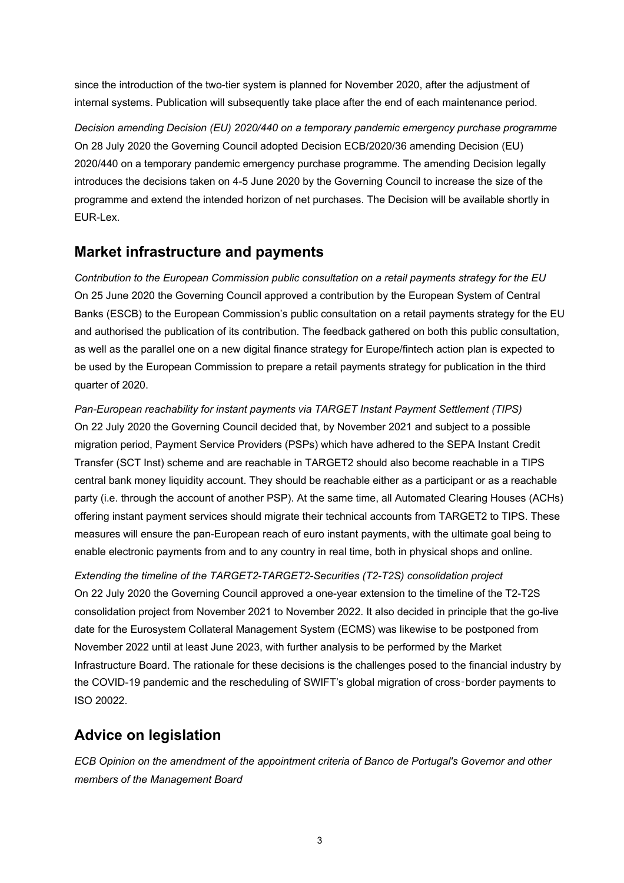since the introduction of the two-tier system is planned for November 2020, after the adjustment of internal systems. Publication will subsequently take place after the end of each maintenance period.

*Decision amending Decision (EU) 2020/440 on a temporary pandemic emergency purchase programme*  On 28 July 2020 the Governing Council adopted Decision ECB/2020/36 amending Decision (EU) 2020/440 on a temporary pandemic emergency purchase programme. The amending Decision legally introduces the decisions taken on 4-5 June 2020 by the Governing Council to increase the size of the programme and extend the intended horizon of net purchases. The Decision will be available shortly in EUR-Lex.

## **Market infrastructure and payments**

*Contribution to the European Commission public consultation on a retail payments strategy for the EU*  On 25 June 2020 the Governing Council approved a contribution by the European System of Central Banks (ESCB) to the European Commission's public consultation on a retail payments strategy for the EU and authorised the publication of its contribution. The feedback gathered on both this public consultation, as well as the parallel one on a new digital finance strategy for Europe/fintech action plan is expected to be used by the European Commission to prepare a retail payments strategy for publication in the third quarter of 2020.

*Pan-European reachability for instant payments via TARGET Instant Payment Settlement (TIPS)*  On 22 July 2020 the Governing Council decided that, by November 2021 and subject to a possible migration period, Payment Service Providers (PSPs) which have adhered to the SEPA Instant Credit Transfer (SCT Inst) scheme and are reachable in TARGET2 should also become reachable in a TIPS central bank money liquidity account. They should be reachable either as a participant or as a reachable party (i.e. through the account of another PSP). At the same time, all Automated Clearing Houses (ACHs) offering instant payment services should migrate their technical accounts from TARGET2 to TIPS. These measures will ensure the pan-European reach of euro instant payments, with the ultimate goal being to enable electronic payments from and to any country in real time, both in physical shops and online.

*Extending the timeline of the TARGET2-TARGET2-Securities (T2-T2S) consolidation project*  On 22 July 2020 the Governing Council approved a one-year extension to the timeline of the T2-T2S consolidation project from November 2021 to November 2022. It also decided in principle that the go-live date for the Eurosystem Collateral Management System (ECMS) was likewise to be postponed from November 2022 until at least June 2023, with further analysis to be performed by the Market Infrastructure Board. The rationale for these decisions is the challenges posed to the financial industry by the COVID-19 pandemic and the rescheduling of SWIFT's global migration of cross-border payments to ISO 20022.

# **Advice on legislation**

*ECB Opinion on the amendment of the appointment criteria of Banco de Portugal's Governor and other members of the Management Board*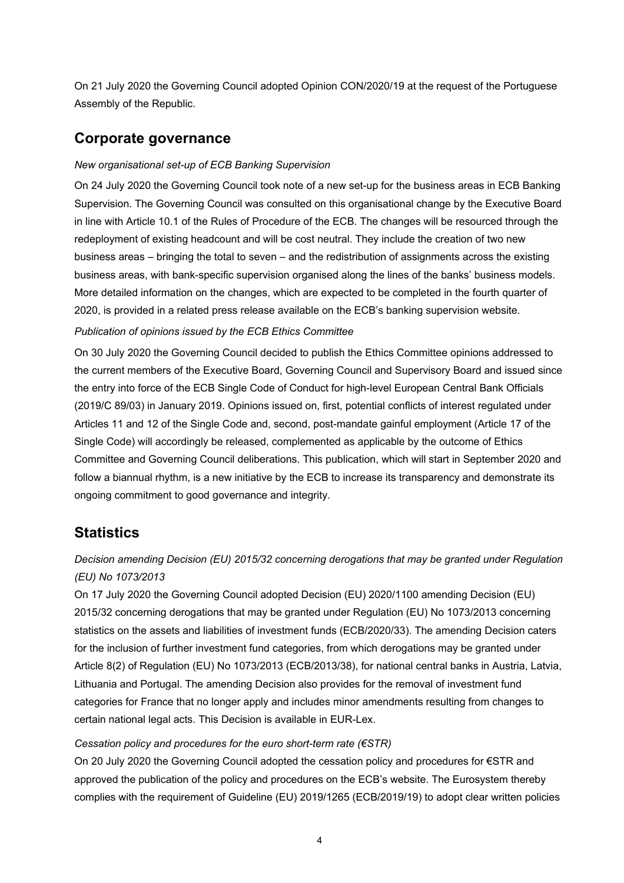On 21 July 2020 the Governing Council adopted Opinion CON/2020/19 at the request of the Portuguese Assembly of the Republic.

## **Corporate governance**

### *New organisational set-up of ECB Banking Supervision*

On 24 July 2020 the Governing Council took note of a new set-up for the business areas in ECB Banking Supervision. The Governing Council was consulted on this organisational change by the Executive Board in line with Article 10.1 of the Rules of Procedure of the ECB. The changes will be resourced through the redeployment of existing headcount and will be cost neutral. They include the creation of two new business areas – bringing the total to seven – and the redistribution of assignments across the existing business areas, with bank-specific supervision organised along the lines of the banks' business models. More detailed information on the changes, which are expected to be completed in the fourth quarter of 2020, is provided in a related press release available on the ECB's banking supervision website. *Publication of opinions issued by the ECB Ethics Committee* 

On 30 July 2020 the Governing Council decided to publish the Ethics Committee opinions addressed to the current members of the Executive Board, Governing Council and Supervisory Board and issued since the entry into force of the ECB Single Code of Conduct for high-level European Central Bank Officials (2019/C 89/03) in January 2019. Opinions issued on, first, potential conflicts of interest regulated under Articles 11 and 12 of the Single Code and, second, post-mandate gainful employment (Article 17 of the Single Code) will accordingly be released, complemented as applicable by the outcome of Ethics Committee and Governing Council deliberations. This publication, which will start in September 2020 and follow a biannual rhythm, is a new initiative by the ECB to increase its transparency and demonstrate its ongoing commitment to good governance and integrity.

# **Statistics**

### *Decision amending Decision (EU) 2015/32 concerning derogations that may be granted under Regulation (EU) No 1073/2013*

On 17 July 2020 the Governing Council adopted Decision (EU) 2020/1100 amending Decision (EU) 2015/32 concerning derogations that may be granted under Regulation (EU) No 1073/2013 concerning statistics on the assets and liabilities of investment funds (ECB/2020/33). The amending Decision caters for the inclusion of further investment fund categories, from which derogations may be granted under Article 8(2) of Regulation (EU) No 1073/2013 (ECB/2013/38), for national central banks in Austria, Latvia, Lithuania and Portugal. The amending Decision also provides for the removal of investment fund categories for France that no longer apply and includes minor amendments resulting from changes to certain national legal acts. This Decision is available in EUR-Lex.

### *Cessation policy and procedures for the euro short-term rate (€STR)*

On 20 July 2020 the Governing Council adopted the cessation policy and procedures for €STR and approved the publication of the policy and procedures on the ECB's website. The Eurosystem thereby complies with the requirement of Guideline (EU) 2019/1265 (ECB/2019/19) to adopt clear written policies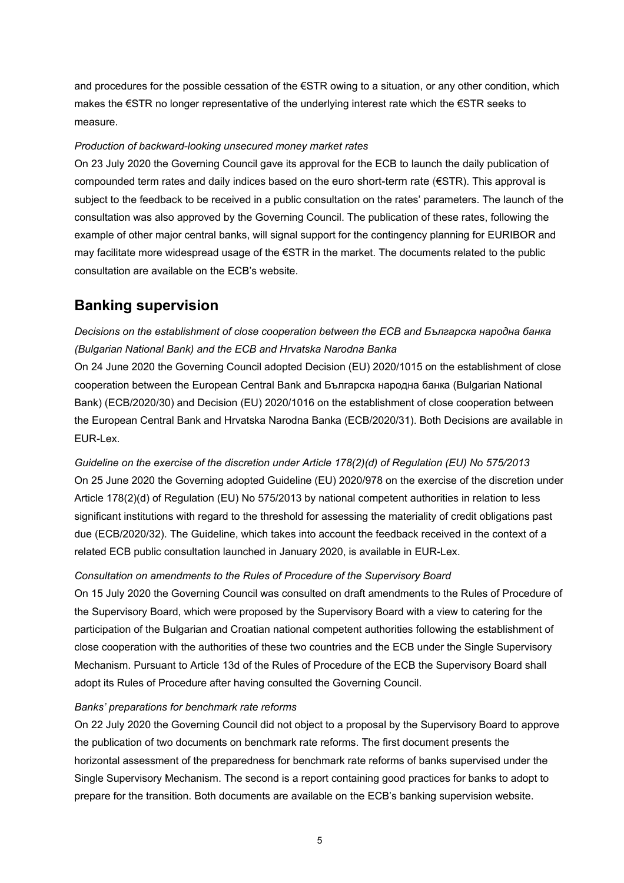and procedures for the possible cessation of the €STR owing to a situation, or any other condition, which makes the €STR no longer representative of the underlying interest rate which the €STR seeks to measure.

### *Production of backward-looking unsecured money market rates*

On 23 July 2020 the Governing Council gave its approval for the ECB to launch the daily publication of compounded term rates and daily indices based on the euro short-term rate (€STR). This approval is subject to the feedback to be received in a public consultation on the rates' parameters. The launch of the consultation was also approved by the Governing Council. The publication of these rates, following the example of other major central banks, will signal support for the contingency planning for EURIBOR and may facilitate more widespread usage of the €STR in the market. The documents related to the public consultation are available on the ECB's website.

## **Banking supervision**

*Decisions on the establishment of close cooperation between the ECB and Българска народна банка (Bulgarian National Bank) and the ECB and Hrvatska Narodna Banka* 

On 24 June 2020 the Governing Council adopted Decision (EU) 2020/1015 on the establishment of close cooperation between the European Central Bank and Българска народна банка (Bulgarian National Bank) (ECB/2020/30) and Decision (EU) 2020/1016 on the establishment of close cooperation between the European Central Bank and Hrvatska Narodna Banka (ECB/2020/31). Both Decisions are available in EUR-Lex.

*Guideline on the exercise of the discretion under Article 178(2)(d) of Regulation (EU) No 575/2013* On 25 June 2020 the Governing adopted Guideline (EU) 2020/978 on the exercise of the discretion under Article 178(2)(d) of Regulation (EU) No 575/2013 by national competent authorities in relation to less significant institutions with regard to the threshold for assessing the materiality of credit obligations past due (ECB/2020/32). The Guideline, which takes into account the feedback received in the context of a related ECB public consultation launched in January 2020, is available in EUR-Lex.

#### *Consultation on amendments to the Rules of Procedure of the Supervisory Board*

On 15 July 2020 the Governing Council was consulted on draft amendments to the Rules of Procedure of the Supervisory Board, which were proposed by the Supervisory Board with a view to catering for the participation of the Bulgarian and Croatian national competent authorities following the establishment of close cooperation with the authorities of these two countries and the ECB under the Single Supervisory Mechanism. Pursuant to Article 13d of the Rules of Procedure of the ECB the Supervisory Board shall adopt its Rules of Procedure after having consulted the Governing Council.

### *Banks' preparations for benchmark rate reforms*

On 22 July 2020 the Governing Council did not object to a proposal by the Supervisory Board to approve the publication of two documents on benchmark rate reforms. The first document presents the horizontal assessment of the preparedness for benchmark rate reforms of banks supervised under the Single Supervisory Mechanism. The second is a report containing good practices for banks to adopt to prepare for the transition. Both documents are available on the ECB's banking supervision website.